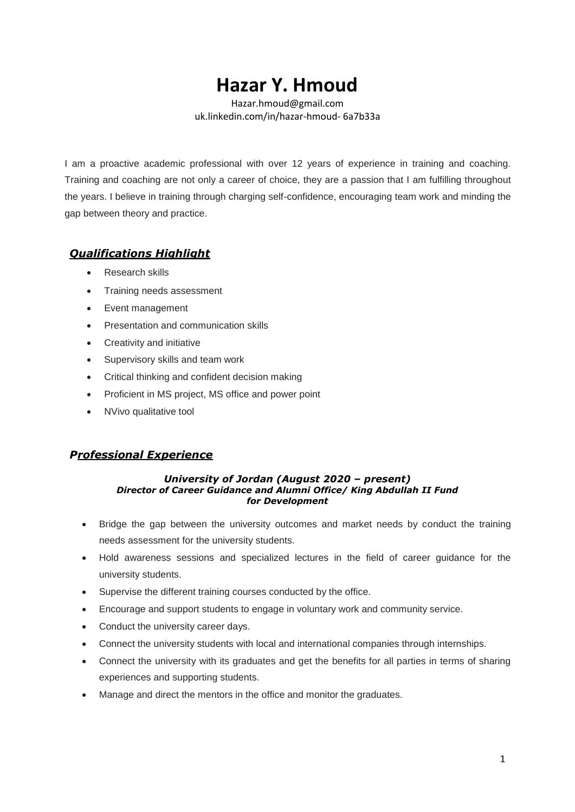# **Hazar Y. Hmoud**

[Hazar.hmoud@gmail.com](mailto:Hazar.hmoud@gmail.com) uk.linkedin.com/in/hazar-hmoud- 6a7b33a

I am a proactive academic professional with over 12 years of experience in training and coaching. Training and coaching are not only a career of choice, they are a passion that I am fulfilling throughout the years. I believe in training through charging self-confidence, encouraging team work and minding the gap between theory and practice.

# *Qualifications Highlight*

- Research skills
- Training needs assessment
- Event management
- Presentation and communication skills
- Creativity and initiative
- Supervisory skills and team work
- Critical thinking and confident decision making
- Proficient in MS project, MS office and power point
- NVivo qualitative tool

# *Professional Experience*

#### *University of Jordan (August 2020 – present) Director of Career Guidance and Alumni Office/ King Abdullah II Fund for Development*

- Bridge the gap between the university outcomes and market needs by conduct the training needs assessment for the university students.
- Hold awareness sessions and specialized lectures in the field of career guidance for the university students.
- Supervise the different training courses conducted by the office.
- Encourage and support students to engage in voluntary work and community service.
- Conduct the university career days.
- Connect the university students with local and international companies through internships.
- Connect the university with its graduates and get the benefits for all parties in terms of sharing experiences and supporting students.
- Manage and direct the mentors in the office and monitor the graduates.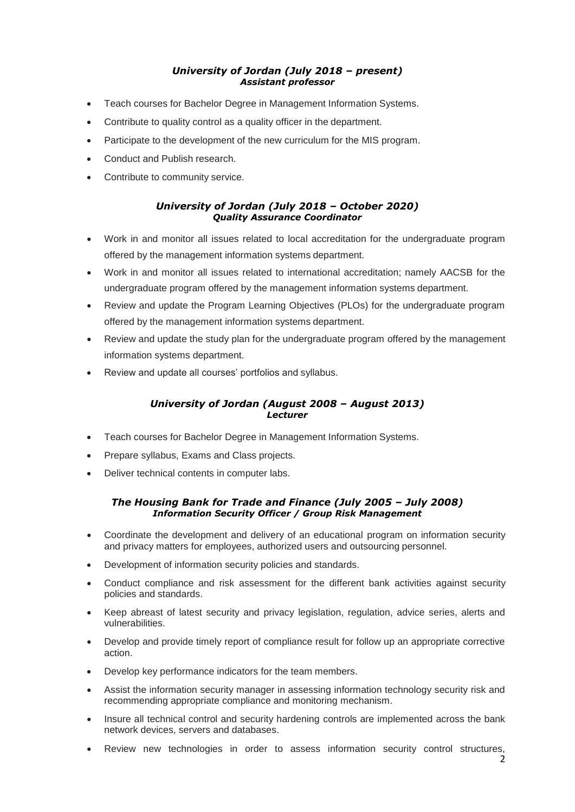## *University of Jordan (July 2018 – present) Assistant professor*

- Teach courses for Bachelor Degree in Management Information Systems.
- Contribute to quality control as a quality officer in the department.
- Participate to the development of the new curriculum for the MIS program.
- Conduct and Publish research.
- Contribute to community service.

## *University of Jordan (July 2018 – October 2020) Quality Assurance Coordinator*

- Work in and monitor all issues related to local accreditation for the undergraduate program offered by the management information systems department.
- Work in and monitor all issues related to international accreditation; namely AACSB for the undergraduate program offered by the management information systems department.
- Review and update the Program Learning Objectives (PLOs) for the undergraduate program offered by the management information systems department.
- Review and update the study plan for the undergraduate program offered by the management information systems department.
- Review and update all courses' portfolios and syllabus.

#### *University of Jordan (August 2008 – August 2013) Lecturer*

- Teach courses for Bachelor Degree in Management Information Systems.
- Prepare syllabus, Exams and Class projects.
- Deliver technical contents in computer labs.

#### *The Housing Bank for Trade and Finance (July 2005 – July 2008) Information Security Officer / Group Risk Management*

- Coordinate the development and delivery of an educational program on information security and privacy matters for employees, authorized users and outsourcing personnel.
- Development of information security policies and standards.
- Conduct compliance and risk assessment for the different bank activities against security policies and standards.
- Keep abreast of latest security and privacy legislation, regulation, advice series, alerts and vulnerabilities.
- Develop and provide timely report of compliance result for follow up an appropriate corrective action.
- Develop key performance indicators for the team members.
- Assist the information security manager in assessing information technology security risk and recommending appropriate compliance and monitoring mechanism.
- Insure all technical control and security hardening controls are implemented across the bank network devices, servers and databases.
- Review new technologies in order to assess information security control structures,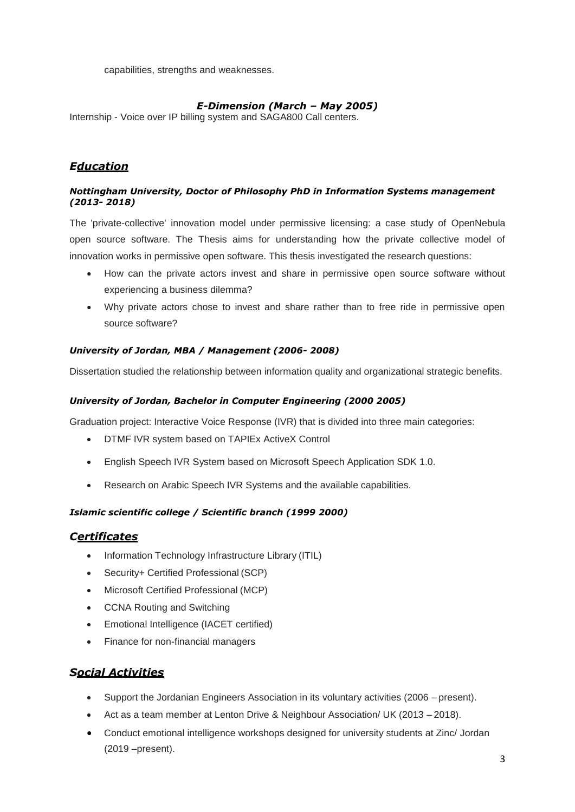capabilities, strengths and weaknesses.

## *E-Dimension (March – May 2005)*

Internship - Voice over IP billing system and SAGA800 Call centers.

# *Education*

#### *Nottingham University, Doctor of Philosophy PhD in Information Systems management (2013- 2018)*

The 'private-collective' innovation model under permissive licensing: a case study of OpenNebula open source software. The Thesis aims for understanding how the private collective model of innovation works in permissive open software. This thesis investigated the research questions:

- How can the private actors invest and share in permissive open source software without experiencing a business dilemma?
- Why private actors chose to invest and share rather than to free ride in permissive open source software?

#### *University of Jordan, MBA / Management (2006- 2008)*

Dissertation studied the relationship between information quality and organizational strategic benefits.

#### *University of Jordan, Bachelor in Computer Engineering (2000 2005)*

Graduation project: Interactive Voice Response (IVR) that is divided into three main categories:

- DTMF IVR system based on TAPIEx ActiveX Control
- English Speech IVR System based on Microsoft Speech Application SDK 1.0.
- Research on Arabic Speech IVR Systems and the available capabilities.

## *Islamic scientific college / Scientific branch (1999 2000)*

## *Certificates*

- Information Technology Infrastructure Library (ITIL)
- Security+ Certified Professional (SCP)
- Microsoft Certified Professional (MCP)
- CCNA Routing and Switching
- Emotional Intelligence (IACET certified)
- Finance for non-financial managers

# *Social Activities*

- Support the Jordanian Engineers Association in its voluntary activities (2006 present).
- Act as a team member at Lenton Drive & Neighbour Association/ UK (2013 2018).
- Conduct emotional intelligence workshops designed for university students at Zinc/ Jordan (2019 –present).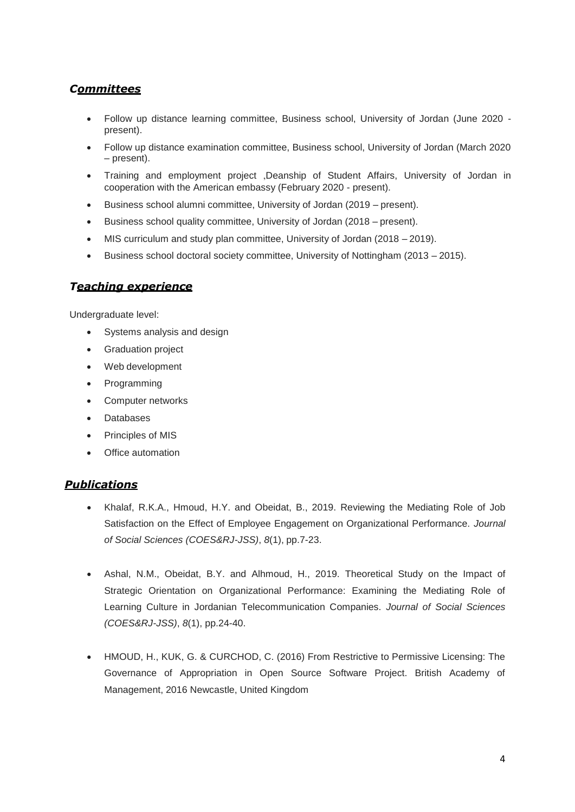# *Committees*

- Follow up distance learning committee, Business school, University of Jordan (June 2020 present).
- Follow up distance examination committee, Business school, University of Jordan (March 2020 – present).
- Training and employment project Deanship of Student Affairs, University of Jordan in cooperation with the American embassy (February 2020 - present).
- Business school alumni committee, University of Jordan (2019 present).
- Business school quality committee, University of Jordan (2018 present).
- MIS curriculum and study plan committee, University of Jordan (2018 2019).
- Business school doctoral society committee, University of Nottingham (2013 2015).

## *Teaching experience*

Undergraduate level:

- Systems analysis and design
- Graduation project
- Web development
- Programming
- Computer networks
- Databases
- Principles of MIS
- Office automation

## *Publications*

- Khalaf, R.K.A., Hmoud, H.Y. and Obeidat, B., 2019. Reviewing the Mediating Role of Job Satisfaction on the Effect of Employee Engagement on Organizational Performance. *Journal of Social Sciences (COES&RJ-JSS)*, *8*(1), pp.7-23.
- Ashal, N.M., Obeidat, B.Y. and Alhmoud, H., 2019. Theoretical Study on the Impact of Strategic Orientation on Organizational Performance: Examining the Mediating Role of Learning Culture in Jordanian Telecommunication Companies. *Journal of Social Sciences (COES&RJ-JSS)*, *8*(1), pp.24-40.
- HMOUD, H., KUK, G. & CURCHOD, C. (2016) From Restrictive to Permissive Licensing: The Governance of Appropriation in Open Source Software Project. British Academy of Management, 2016 Newcastle, United Kingdom